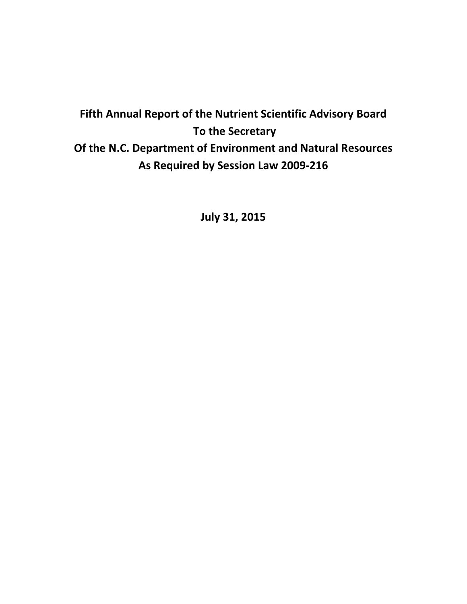# **Fifth Annual Report of the Nutrient Scientific Advisory Board To the Secretary Of the N.C. Department of Environment and Natural Resources As Required by Session Law 2009-216**

**July 31, 2015**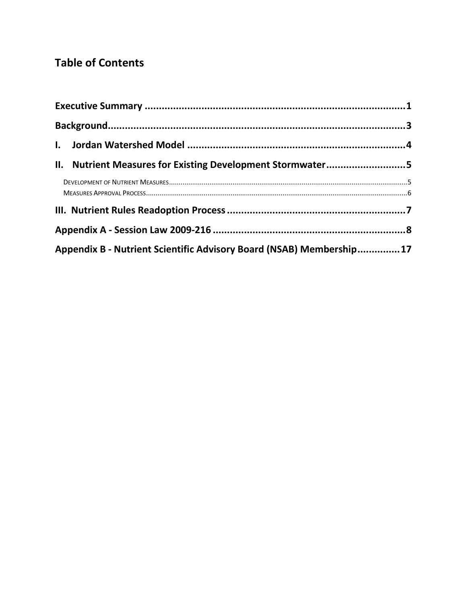# **Table of Contents**

| II. Nutrient Measures for Existing Development Stormwater5          |  |
|---------------------------------------------------------------------|--|
|                                                                     |  |
|                                                                     |  |
|                                                                     |  |
| Appendix B - Nutrient Scientific Advisory Board (NSAB) Membership17 |  |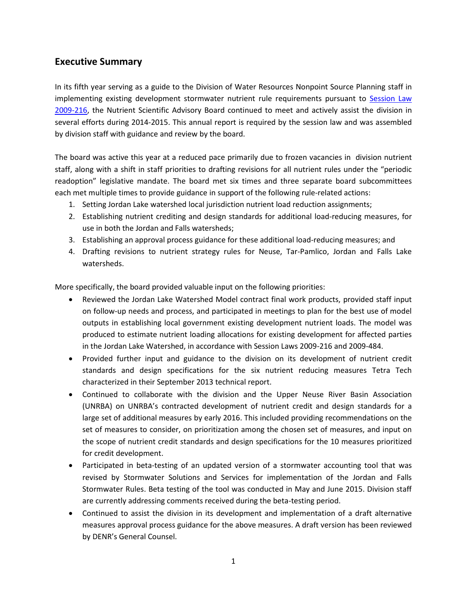## <span id="page-2-0"></span>**Executive Summary**

In its fifth year serving as a guide to the Division of Water Resources Nonpoint Source Planning staff in implementing existing development stormwater nutrient rule requirements pursuant to [Session Law](http://www.ncleg.net/sessions/2009/bills/house/pdf/h239v6.pdf)  [2009-216,](http://www.ncleg.net/sessions/2009/bills/house/pdf/h239v6.pdf) the Nutrient Scientific Advisory Board continued to meet and actively assist the division in several efforts during 2014-2015. This annual report is required by the session law and was assembled by division staff with guidance and review by the board.

The board was active this year at a reduced pace primarily due to frozen vacancies in division nutrient staff, along with a shift in staff priorities to drafting revisions for all nutrient rules under the "periodic readoption" legislative mandate. The board met six times and three separate board subcommittees each met multiple times to provide guidance in support of the following rule-related actions:

- 1. Setting Jordan Lake watershed local jurisdiction nutrient load reduction assignments;
- 2. Establishing nutrient crediting and design standards for additional load-reducing measures, for use in both the Jordan and Falls watersheds;
- 3. Establishing an approval process guidance for these additional load-reducing measures; and
- 4. Drafting revisions to nutrient strategy rules for Neuse, Tar-Pamlico, Jordan and Falls Lake watersheds.

More specifically, the board provided valuable input on the following priorities:

- Reviewed the Jordan Lake Watershed Model contract final work products, provided staff input on follow-up needs and process, and participated in meetings to plan for the best use of model outputs in establishing local government existing development nutrient loads. The model was produced to estimate nutrient loading allocations for existing development for affected parties in the Jordan Lake Watershed, in accordance with Session Laws 2009-216 and 2009-484.
- Provided further input and guidance to the division on its development of nutrient credit standards and design specifications for the six nutrient reducing measures Tetra Tech characterized in their September 2013 technical report.
- Continued to collaborate with the division and the Upper Neuse River Basin Association (UNRBA) on UNRBA's contracted development of nutrient credit and design standards for a large set of additional measures by early 2016. This included providing recommendations on the set of measures to consider, on prioritization among the chosen set of measures, and input on the scope of nutrient credit standards and design specifications for the 10 measures prioritized for credit development.
- Participated in beta-testing of an updated version of a stormwater accounting tool that was revised by Stormwater Solutions and Services for implementation of the Jordan and Falls Stormwater Rules. Beta testing of the tool was conducted in May and June 2015. Division staff are currently addressing comments received during the beta-testing period.
- Continued to assist the division in its development and implementation of a draft alternative measures approval process guidance for the above measures. A draft version has been reviewed by DENR's General Counsel.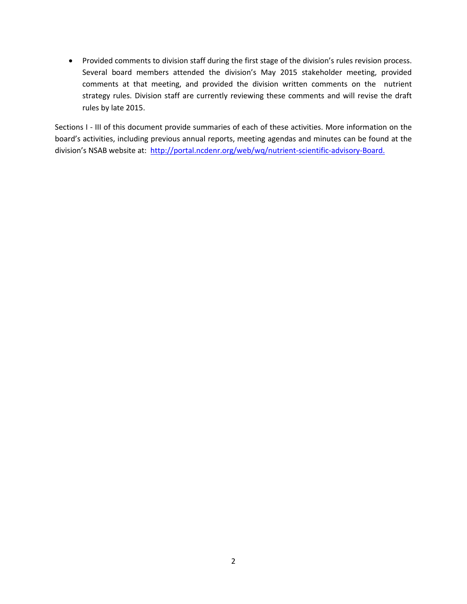Provided comments to division staff during the first stage of the division's rules revision process. Several board members attended the division's May 2015 stakeholder meeting, provided comments at that meeting, and provided the division written comments on the nutrient strategy rules. Division staff are currently reviewing these comments and will revise the draft rules by late 2015.

Sections I - III of this document provide summaries of each of these activities. More information on the board's activities, including previous annual reports, meeting agendas and minutes can be found at the division's NSAB website at: [http://portal.ncdenr.org/web/wq/nutrient-scientific-advisory-Board.](http://portal.ncdenr.org/web/wq/nutrient-scientific-advisory-board)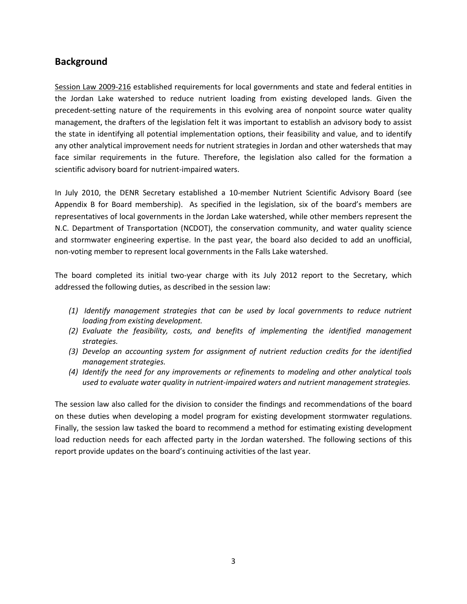## <span id="page-4-0"></span>**Background**

[Session Law 2009-216](http://www.ncleg.net/sessions/2009/bills/house/pdf/h239v6.pdf) established requirements for local governments and state and federal entities in the Jordan Lake watershed to reduce nutrient loading from existing developed lands. Given the precedent-setting nature of the requirements in this evolving area of nonpoint source water quality management, the drafters of the legislation felt it was important to establish an advisory body to assist the state in identifying all potential implementation options, their feasibility and value, and to identify any other analytical improvement needs for nutrient strategies in Jordan and other watersheds that may face similar requirements in the future. Therefore, the legislation also called for the formation a scientific advisory board for nutrient-impaired waters.

In July 2010, the DENR Secretary established a 10-member Nutrient Scientific Advisory Board (see Appendix B for Board membership). As specified in the legislation, six of the board's members are representatives of local governments in the Jordan Lake watershed, while other members represent the N.C. Department of Transportation (NCDOT), the conservation community, and water quality science and stormwater engineering expertise. In the past year, the board also decided to add an unofficial, non-voting member to represent local governments in the Falls Lake watershed.

The board completed its initial two-year charge with its July 2012 report to the Secretary, which addressed the following duties, as described in the session law:

- *(1) Identify management strategies that can be used by local governments to reduce nutrient loading from existing development.*
- *(2) Evaluate the feasibility, costs, and benefits of implementing the identified management strategies.*
- *(3) Develop an accounting system for assignment of nutrient reduction credits for the identified management strategies.*
- *(4) Identify the need for any improvements or refinements to modeling and other analytical tools used to evaluate water quality in nutrient-impaired waters and nutrient management strategies.*

The session law also called for the division to consider the findings and recommendations of the board on these duties when developing a model program for existing development stormwater regulations. Finally, the session law tasked the board to recommend a method for estimating existing development load reduction needs for each affected party in the Jordan watershed. The following sections of this report provide updates on the board's continuing activities of the last year.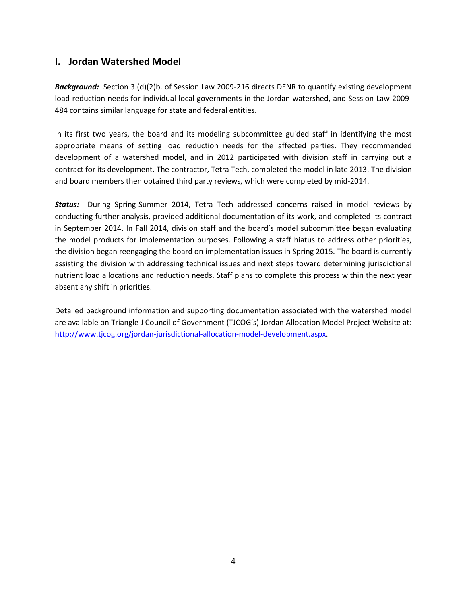## <span id="page-5-0"></span>**I. Jordan Watershed Model**

*Background:* Section 3.(d)(2)b. of Session Law 2009-216 directs DENR to quantify existing development load reduction needs for individual local governments in the Jordan watershed, and Session Law 2009- 484 contains similar language for state and federal entities.

In its first two years, the board and its modeling subcommittee guided staff in identifying the most appropriate means of setting load reduction needs for the affected parties. They recommended development of a watershed model, and in 2012 participated with division staff in carrying out a contract for its development. The contractor, Tetra Tech, completed the model in late 2013. The division and board members then obtained third party reviews, which were completed by mid-2014.

*Status:* During Spring-Summer 2014, Tetra Tech addressed concerns raised in model reviews by conducting further analysis, provided additional documentation of its work, and completed its contract in September 2014. In Fall 2014, division staff and the board's model subcommittee began evaluating the model products for implementation purposes. Following a staff hiatus to address other priorities, the division began reengaging the board on implementation issues in Spring 2015. The board is currently assisting the division with addressing technical issues and next steps toward determining jurisdictional nutrient load allocations and reduction needs. Staff plans to complete this process within the next year absent any shift in priorities.

Detailed background information and supporting documentation associated with the watershed model are available on Triangle J Council of Government (TJCOG's) Jordan Allocation Model Project Website at: [http://www.tjcog.org/jordan-jurisdictional-allocation-model-development.aspx.](http://www.tjcog.org/jordan-jurisdictional-allocation-model-development.aspx)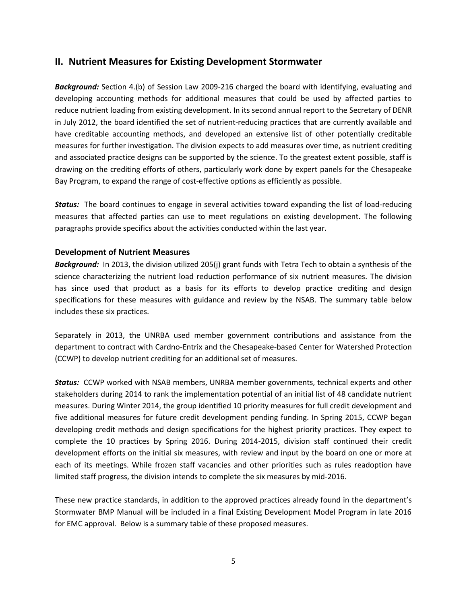#### <span id="page-6-0"></span>**II. Nutrient Measures for Existing Development Stormwater**

*Background:* Section 4.(b) of Session Law 2009-216 charged the board with identifying, evaluating and developing accounting methods for additional measures that could be used by affected parties to reduce nutrient loading from existing development. In its second annual report to the Secretary of DENR in July 2012, the board identified the set of nutrient-reducing practices that are currently available and have creditable accounting methods, and developed an extensive list of other potentially creditable measures for further investigation. The division expects to add measures over time, as nutrient crediting and associated practice designs can be supported by the science. To the greatest extent possible, staff is drawing on the crediting efforts of others, particularly work done by expert panels for the Chesapeake Bay Program, to expand the range of cost-effective options as efficiently as possible.

*Status:* The board continues to engage in several activities toward expanding the list of load-reducing measures that affected parties can use to meet regulations on existing development. The following paragraphs provide specifics about the activities conducted within the last year.

#### <span id="page-6-1"></span>**Development of Nutrient Measures**

*Background:* In 2013, the division utilized 205(j) grant funds with Tetra Tech to obtain a synthesis of the science characterizing the nutrient load reduction performance of six nutrient measures. The division has since used that product as a basis for its efforts to develop practice crediting and design specifications for these measures with guidance and review by the NSAB. The summary table below includes these six practices.

Separately in 2013, the UNRBA used member government contributions and assistance from the department to contract with Cardno-Entrix and the Chesapeake-based Center for Watershed Protection (CCWP) to develop nutrient crediting for an additional set of measures.

*Status:* CCWP worked with NSAB members, UNRBA member governments, technical experts and other stakeholders during 2014 to rank the implementation potential of an initial list of 48 candidate nutrient measures. During Winter 2014, the group identified 10 priority measures for full credit development and five additional measures for future credit development pending funding. In Spring 2015, CCWP began developing credit methods and design specifications for the highest priority practices. They expect to complete the 10 practices by Spring 2016. During 2014-2015, division staff continued their credit development efforts on the initial six measures, with review and input by the board on one or more at each of its meetings. While frozen staff vacancies and other priorities such as rules readoption have limited staff progress, the division intends to complete the six measures by mid-2016.

These new practice standards, in addition to the approved practices already found in the department's Stormwater BMP Manual will be included in a final Existing Development Model Program in late 2016 for EMC approval. Below is a summary table of these proposed measures.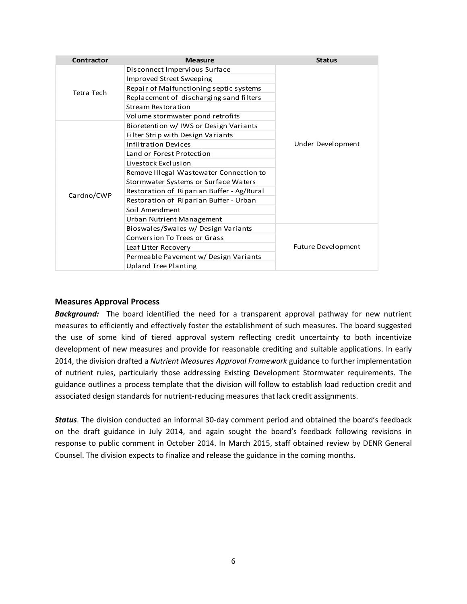| Contractor | <b>Measure</b>                            | <b>Status</b>             |
|------------|-------------------------------------------|---------------------------|
| Tetra Tech | Disconnect Impervious Surface             |                           |
|            | Improved Street Sweeping                  |                           |
|            | Repair of Malfunctioning septic systems   |                           |
|            | Replacement of discharging sand filters   |                           |
|            | Stream Restoration                        |                           |
|            | Volume stormwater pond retrofits          |                           |
|            | Bioretention w/ IWS or Design Variants    | Under Development         |
| Cardno/CWP | Filter Strip with Design Variants         |                           |
|            | Infiltration Devices                      |                           |
|            | Land or Forest Protection                 |                           |
|            | Livestock Exclusion                       |                           |
|            | Remove Illegal Wastewater Connection to   |                           |
|            | Stormwater Systems or Surface Waters      |                           |
|            | Restoration of Riparian Buffer - Ag/Rural |                           |
|            | Restoration of Riparian Buffer - Urban    |                           |
|            | Soil Amendment                            |                           |
|            | Urban Nutrient Management                 |                           |
|            | Bioswales/Swales w/ Design Variants       |                           |
|            | Conversion To Trees or Grass              | <b>Future Development</b> |
|            | Leaf Litter Recovery                      |                           |
|            | Permeable Pavement w/ Design Variants     |                           |
|            | <b>Upland Tree Planting</b>               |                           |

#### <span id="page-7-0"></span>**Measures Approval Process**

*Background:* The board identified the need for a transparent approval pathway for new nutrient measures to efficiently and effectively foster the establishment of such measures. The board suggested the use of some kind of tiered approval system reflecting credit uncertainty to both incentivize development of new measures and provide for reasonable crediting and suitable applications. In early 2014, the division drafted a *Nutrient Measures Approval Framework* guidance to further implementation of nutrient rules, particularly those addressing Existing Development Stormwater requirements. The guidance outlines a process template that the division will follow to establish load reduction credit and associated design standards for nutrient-reducing measures that lack credit assignments.

*Status*. The division conducted an informal 30-day comment period and obtained the board's feedback on the draft guidance in July 2014, and again sought the board's feedback following revisions in response to public comment in October 2014. In March 2015, staff obtained review by DENR General Counsel. The division expects to finalize and release the guidance in the coming months.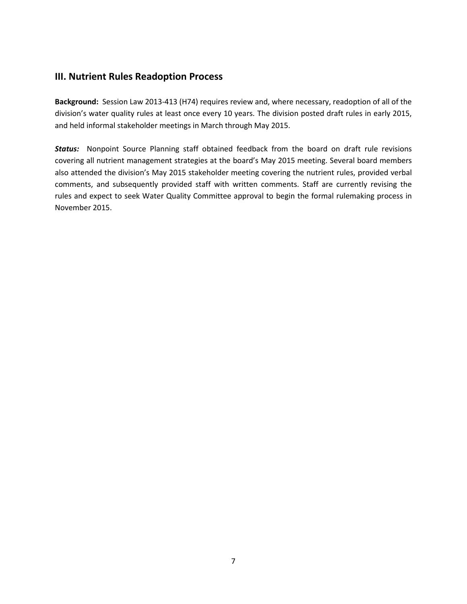### **III. Nutrient Rules Readoption Process**

**Background:** Session Law 2013-413 (H74) requires review and, where necessary, readoption of all of the division's water quality rules at least once every 10 years. The division posted draft rules in early 2015, and held informal stakeholder meetings in March through May 2015.

<span id="page-8-0"></span>*Status:* Nonpoint Source Planning staff obtained feedback from the board on draft rule revisions covering all nutrient management strategies at the board's May 2015 meeting. Several board members also attended the division's May 2015 stakeholder meeting covering the nutrient rules, provided verbal comments, and subsequently provided staff with written comments. Staff are currently revising the rules and expect to seek Water Quality Committee approval to begin the formal rulemaking process in November 2015.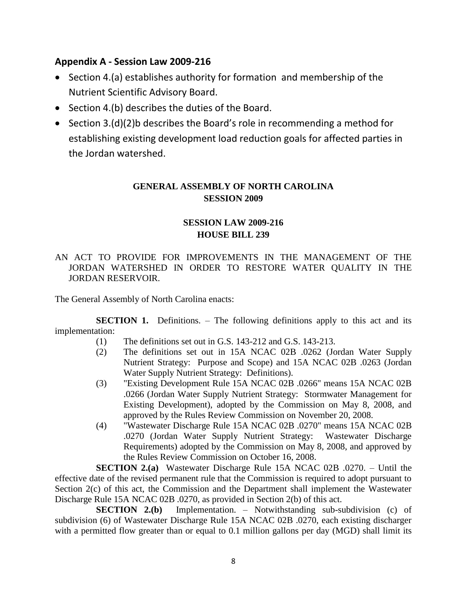## **Appendix A - Session Law 2009-216**

- Section 4.(a) establishes authority for formation and membership of the Nutrient Scientific Advisory Board.
- Section 4.(b) describes the duties of the Board.
- Section 3.(d)(2)b describes the Board's role in recommending a method for establishing existing development load reduction goals for affected parties in the Jordan watershed.

### **GENERAL ASSEMBLY OF NORTH CAROLINA SESSION 2009**

## **SESSION LAW 2009-216 HOUSE BILL 239**

#### AN ACT TO PROVIDE FOR IMPROVEMENTS IN THE MANAGEMENT OF THE JORDAN WATERSHED IN ORDER TO RESTORE WATER QUALITY IN THE JORDAN RESERVOIR.

The General Assembly of North Carolina enacts:

**SECTION 1.** Definitions. – The following definitions apply to this act and its implementation:

- (1) The definitions set out in G.S. 143-212 and G.S. 143-213.
- (2) The definitions set out in 15A NCAC 02B .0262 (Jordan Water Supply Nutrient Strategy: Purpose and Scope) and 15A NCAC 02B .0263 (Jordan Water Supply Nutrient Strategy: Definitions).
- (3) "Existing Development Rule 15A NCAC 02B .0266" means 15A NCAC 02B .0266 (Jordan Water Supply Nutrient Strategy: Stormwater Management for Existing Development), adopted by the Commission on May 8, 2008, and approved by the Rules Review Commission on November 20, 2008.
- (4) "Wastewater Discharge Rule 15A NCAC 02B .0270" means 15A NCAC 02B .0270 (Jordan Water Supply Nutrient Strategy: Wastewater Discharge Requirements) adopted by the Commission on May 8, 2008, and approved by the Rules Review Commission on October 16, 2008.

**SECTION 2.(a)** Wastewater Discharge Rule 15A NCAC 02B .0270. – Until the effective date of the revised permanent rule that the Commission is required to adopt pursuant to Section 2(c) of this act, the Commission and the Department shall implement the Wastewater Discharge Rule 15A NCAC 02B .0270, as provided in Section 2(b) of this act.

**SECTION 2.(b)** Implementation. – Notwithstanding sub-subdivision (c) of subdivision (6) of Wastewater Discharge Rule 15A NCAC 02B .0270, each existing discharger with a permitted flow greater than or equal to 0.1 million gallons per day (MGD) shall limit its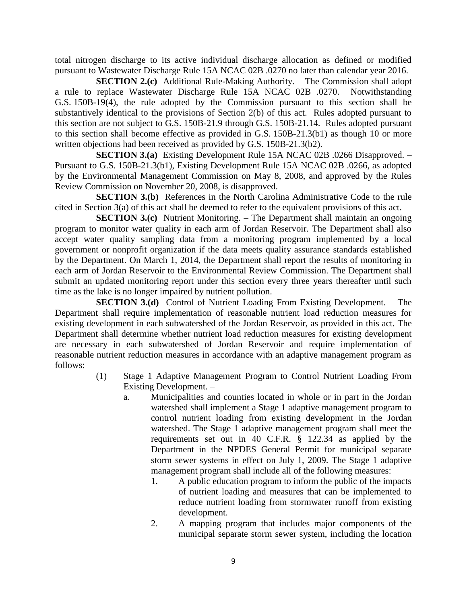total nitrogen discharge to its active individual discharge allocation as defined or modified pursuant to Wastewater Discharge Rule 15A NCAC 02B .0270 no later than calendar year 2016.

**SECTION 2.(c)** Additional Rule-Making Authority. – The Commission shall adopt a rule to replace Wastewater Discharge Rule 15A NCAC 02B .0270. Notwithstanding G.S. 150B-19(4), the rule adopted by the Commission pursuant to this section shall be substantively identical to the provisions of Section 2(b) of this act. Rules adopted pursuant to this section are not subject to G.S. 150B-21.9 through G.S. 150B-21.14. Rules adopted pursuant to this section shall become effective as provided in G.S. 150B-21.3(b1) as though 10 or more written objections had been received as provided by G.S. 150B-21.3(b2).

**SECTION 3.(a)** Existing Development Rule 15A NCAC 02B .0266 Disapproved. – Pursuant to G.S. 150B-21.3(b1), Existing Development Rule 15A NCAC 02B .0266, as adopted by the Environmental Management Commission on May 8, 2008, and approved by the Rules Review Commission on November 20, 2008, is disapproved.

**SECTION 3.(b)** References in the North Carolina Administrative Code to the rule cited in Section 3(a) of this act shall be deemed to refer to the equivalent provisions of this act.

**SECTION 3.(c)** Nutrient Monitoring. – The Department shall maintain an ongoing program to monitor water quality in each arm of Jordan Reservoir. The Department shall also accept water quality sampling data from a monitoring program implemented by a local government or nonprofit organization if the data meets quality assurance standards established by the Department. On March 1, 2014, the Department shall report the results of monitoring in each arm of Jordan Reservoir to the Environmental Review Commission. The Department shall submit an updated monitoring report under this section every three years thereafter until such time as the lake is no longer impaired by nutrient pollution.

**SECTION 3.(d)** Control of Nutrient Loading From Existing Development. – The Department shall require implementation of reasonable nutrient load reduction measures for existing development in each subwatershed of the Jordan Reservoir, as provided in this act. The Department shall determine whether nutrient load reduction measures for existing development are necessary in each subwatershed of Jordan Reservoir and require implementation of reasonable nutrient reduction measures in accordance with an adaptive management program as follows:

- (1) Stage 1 Adaptive Management Program to Control Nutrient Loading From Existing Development. –
	- a. Municipalities and counties located in whole or in part in the Jordan watershed shall implement a Stage 1 adaptive management program to control nutrient loading from existing development in the Jordan watershed. The Stage 1 adaptive management program shall meet the requirements set out in 40 C.F.R. § 122.34 as applied by the Department in the NPDES General Permit for municipal separate storm sewer systems in effect on July 1, 2009. The Stage 1 adaptive management program shall include all of the following measures:
		- 1. A public education program to inform the public of the impacts of nutrient loading and measures that can be implemented to reduce nutrient loading from stormwater runoff from existing development.
		- 2. A mapping program that includes major components of the municipal separate storm sewer system, including the location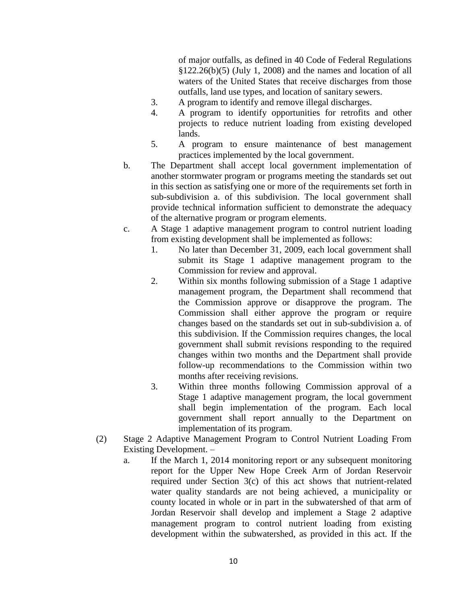of major outfalls, as defined in 40 Code of Federal Regulations  $$122.26(b)(5)$  (July 1, 2008) and the names and location of all waters of the United States that receive discharges from those outfalls, land use types, and location of sanitary sewers.

- 3. A program to identify and remove illegal discharges.
- 4. A program to identify opportunities for retrofits and other projects to reduce nutrient loading from existing developed lands.
- 5. A program to ensure maintenance of best management practices implemented by the local government.
- b. The Department shall accept local government implementation of another stormwater program or programs meeting the standards set out in this section as satisfying one or more of the requirements set forth in sub-subdivision a. of this subdivision. The local government shall provide technical information sufficient to demonstrate the adequacy of the alternative program or program elements.
- c. A Stage 1 adaptive management program to control nutrient loading from existing development shall be implemented as follows:
	- 1. No later than December 31, 2009, each local government shall submit its Stage 1 adaptive management program to the Commission for review and approval.
	- 2. Within six months following submission of a Stage 1 adaptive management program, the Department shall recommend that the Commission approve or disapprove the program. The Commission shall either approve the program or require changes based on the standards set out in sub-subdivision a. of this subdivision. If the Commission requires changes, the local government shall submit revisions responding to the required changes within two months and the Department shall provide follow-up recommendations to the Commission within two months after receiving revisions.
	- 3. Within three months following Commission approval of a Stage 1 adaptive management program, the local government shall begin implementation of the program. Each local government shall report annually to the Department on implementation of its program.
- (2) Stage 2 Adaptive Management Program to Control Nutrient Loading From Existing Development. –
	- a. If the March 1, 2014 monitoring report or any subsequent monitoring report for the Upper New Hope Creek Arm of Jordan Reservoir required under Section 3(c) of this act shows that nutrient-related water quality standards are not being achieved, a municipality or county located in whole or in part in the subwatershed of that arm of Jordan Reservoir shall develop and implement a Stage 2 adaptive management program to control nutrient loading from existing development within the subwatershed, as provided in this act. If the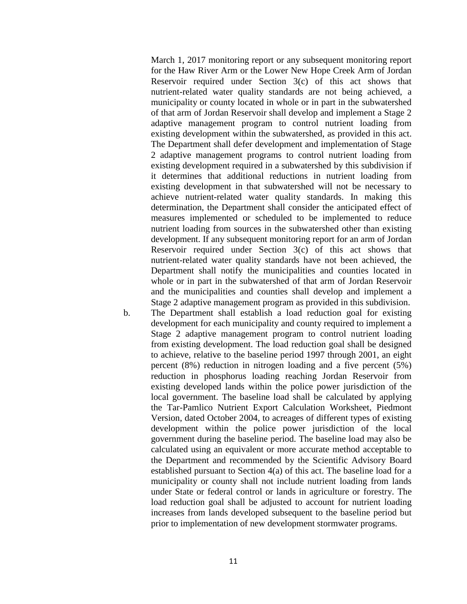March 1, 2017 monitoring report or any subsequent monitoring report for the Haw River Arm or the Lower New Hope Creek Arm of Jordan Reservoir required under Section 3(c) of this act shows that nutrient-related water quality standards are not being achieved, a municipality or county located in whole or in part in the subwatershed of that arm of Jordan Reservoir shall develop and implement a Stage 2 adaptive management program to control nutrient loading from existing development within the subwatershed, as provided in this act. The Department shall defer development and implementation of Stage 2 adaptive management programs to control nutrient loading from existing development required in a subwatershed by this subdivision if it determines that additional reductions in nutrient loading from existing development in that subwatershed will not be necessary to achieve nutrient-related water quality standards. In making this determination, the Department shall consider the anticipated effect of measures implemented or scheduled to be implemented to reduce nutrient loading from sources in the subwatershed other than existing development. If any subsequent monitoring report for an arm of Jordan Reservoir required under Section 3(c) of this act shows that nutrient-related water quality standards have not been achieved, the Department shall notify the municipalities and counties located in whole or in part in the subwatershed of that arm of Jordan Reservoir and the municipalities and counties shall develop and implement a Stage 2 adaptive management program as provided in this subdivision.

b. The Department shall establish a load reduction goal for existing development for each municipality and county required to implement a Stage 2 adaptive management program to control nutrient loading from existing development. The load reduction goal shall be designed to achieve, relative to the baseline period 1997 through 2001, an eight percent (8%) reduction in nitrogen loading and a five percent (5%) reduction in phosphorus loading reaching Jordan Reservoir from existing developed lands within the police power jurisdiction of the local government. The baseline load shall be calculated by applying the Tar-Pamlico Nutrient Export Calculation Worksheet, Piedmont Version, dated October 2004, to acreages of different types of existing development within the police power jurisdiction of the local government during the baseline period. The baseline load may also be calculated using an equivalent or more accurate method acceptable to the Department and recommended by the Scientific Advisory Board established pursuant to Section 4(a) of this act. The baseline load for a municipality or county shall not include nutrient loading from lands under State or federal control or lands in agriculture or forestry. The load reduction goal shall be adjusted to account for nutrient loading increases from lands developed subsequent to the baseline period but prior to implementation of new development stormwater programs.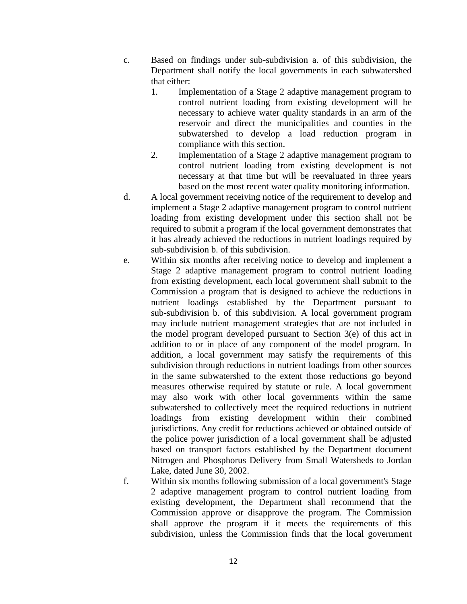- c. Based on findings under sub-subdivision a. of this subdivision, the Department shall notify the local governments in each subwatershed that either:
	- 1. Implementation of a Stage 2 adaptive management program to control nutrient loading from existing development will be necessary to achieve water quality standards in an arm of the reservoir and direct the municipalities and counties in the subwatershed to develop a load reduction program in compliance with this section.
	- 2. Implementation of a Stage 2 adaptive management program to control nutrient loading from existing development is not necessary at that time but will be reevaluated in three years based on the most recent water quality monitoring information.
- d. A local government receiving notice of the requirement to develop and implement a Stage 2 adaptive management program to control nutrient loading from existing development under this section shall not be required to submit a program if the local government demonstrates that it has already achieved the reductions in nutrient loadings required by sub-subdivision b. of this subdivision.
- e. Within six months after receiving notice to develop and implement a Stage 2 adaptive management program to control nutrient loading from existing development, each local government shall submit to the Commission a program that is designed to achieve the reductions in nutrient loadings established by the Department pursuant to sub-subdivision b. of this subdivision. A local government program may include nutrient management strategies that are not included in the model program developed pursuant to Section 3(e) of this act in addition to or in place of any component of the model program. In addition, a local government may satisfy the requirements of this subdivision through reductions in nutrient loadings from other sources in the same subwatershed to the extent those reductions go beyond measures otherwise required by statute or rule. A local government may also work with other local governments within the same subwatershed to collectively meet the required reductions in nutrient loadings from existing development within their combined jurisdictions. Any credit for reductions achieved or obtained outside of the police power jurisdiction of a local government shall be adjusted based on transport factors established by the Department document Nitrogen and Phosphorus Delivery from Small Watersheds to Jordan Lake, dated June 30, 2002.
- f. Within six months following submission of a local government's Stage 2 adaptive management program to control nutrient loading from existing development, the Department shall recommend that the Commission approve or disapprove the program. The Commission shall approve the program if it meets the requirements of this subdivision, unless the Commission finds that the local government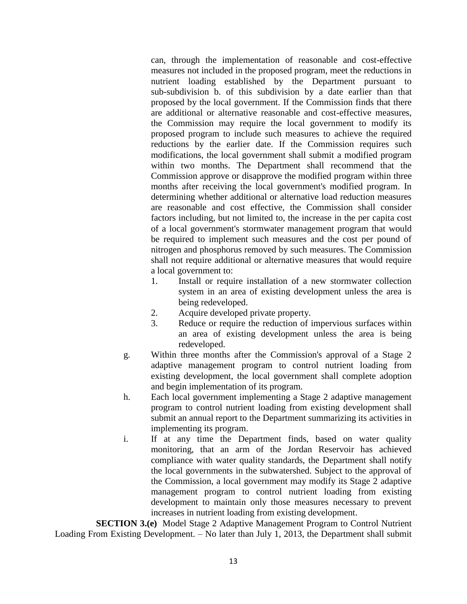can, through the implementation of reasonable and cost-effective measures not included in the proposed program, meet the reductions in nutrient loading established by the Department pursuant to sub-subdivision b. of this subdivision by a date earlier than that proposed by the local government. If the Commission finds that there are additional or alternative reasonable and cost-effective measures, the Commission may require the local government to modify its proposed program to include such measures to achieve the required reductions by the earlier date. If the Commission requires such modifications, the local government shall submit a modified program within two months. The Department shall recommend that the Commission approve or disapprove the modified program within three months after receiving the local government's modified program. In determining whether additional or alternative load reduction measures are reasonable and cost effective, the Commission shall consider factors including, but not limited to, the increase in the per capita cost of a local government's stormwater management program that would be required to implement such measures and the cost per pound of nitrogen and phosphorus removed by such measures. The Commission shall not require additional or alternative measures that would require a local government to:

- 1. Install or require installation of a new stormwater collection system in an area of existing development unless the area is being redeveloped.
- 2. Acquire developed private property.
- 3. Reduce or require the reduction of impervious surfaces within an area of existing development unless the area is being redeveloped.
- g. Within three months after the Commission's approval of a Stage 2 adaptive management program to control nutrient loading from existing development, the local government shall complete adoption and begin implementation of its program.
- h. Each local government implementing a Stage 2 adaptive management program to control nutrient loading from existing development shall submit an annual report to the Department summarizing its activities in implementing its program.
- i. If at any time the Department finds, based on water quality monitoring, that an arm of the Jordan Reservoir has achieved compliance with water quality standards, the Department shall notify the local governments in the subwatershed. Subject to the approval of the Commission, a local government may modify its Stage 2 adaptive management program to control nutrient loading from existing development to maintain only those measures necessary to prevent increases in nutrient loading from existing development.

**SECTION 3.(e)** Model Stage 2 Adaptive Management Program to Control Nutrient Loading From Existing Development. – No later than July 1, 2013, the Department shall submit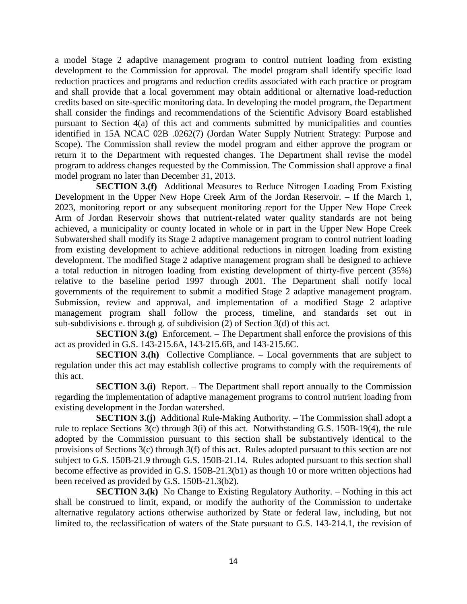a model Stage 2 adaptive management program to control nutrient loading from existing development to the Commission for approval. The model program shall identify specific load reduction practices and programs and reduction credits associated with each practice or program and shall provide that a local government may obtain additional or alternative load-reduction credits based on site-specific monitoring data. In developing the model program, the Department shall consider the findings and recommendations of the Scientific Advisory Board established pursuant to Section 4(a) of this act and comments submitted by municipalities and counties identified in 15A NCAC 02B .0262(7) (Jordan Water Supply Nutrient Strategy: Purpose and Scope). The Commission shall review the model program and either approve the program or return it to the Department with requested changes. The Department shall revise the model program to address changes requested by the Commission. The Commission shall approve a final model program no later than December 31, 2013.

**SECTION 3.(f)** Additional Measures to Reduce Nitrogen Loading From Existing Development in the Upper New Hope Creek Arm of the Jordan Reservoir. – If the March 1, 2023, monitoring report or any subsequent monitoring report for the Upper New Hope Creek Arm of Jordan Reservoir shows that nutrient-related water quality standards are not being achieved, a municipality or county located in whole or in part in the Upper New Hope Creek Subwatershed shall modify its Stage 2 adaptive management program to control nutrient loading from existing development to achieve additional reductions in nitrogen loading from existing development. The modified Stage 2 adaptive management program shall be designed to achieve a total reduction in nitrogen loading from existing development of thirty-five percent (35%) relative to the baseline period 1997 through 2001. The Department shall notify local governments of the requirement to submit a modified Stage 2 adaptive management program. Submission, review and approval, and implementation of a modified Stage 2 adaptive management program shall follow the process, timeline, and standards set out in sub-subdivisions e. through g. of subdivision (2) of Section 3(d) of this act.

**SECTION 3.(g)** Enforcement. – The Department shall enforce the provisions of this act as provided in G.S. 143-215.6A, 143-215.6B, and 143-215.6C.

**SECTION 3.(h)** Collective Compliance. – Local governments that are subject to regulation under this act may establish collective programs to comply with the requirements of this act.

**SECTION 3.(i)** Report. – The Department shall report annually to the Commission regarding the implementation of adaptive management programs to control nutrient loading from existing development in the Jordan watershed.

**SECTION 3.(j)** Additional Rule-Making Authority. – The Commission shall adopt a rule to replace Sections 3(c) through 3(i) of this act. Notwithstanding G.S. 150B-19(4), the rule adopted by the Commission pursuant to this section shall be substantively identical to the provisions of Sections 3(c) through 3(f) of this act. Rules adopted pursuant to this section are not subject to G.S. 150B-21.9 through G.S. 150B-21.14. Rules adopted pursuant to this section shall become effective as provided in G.S. 150B-21.3(b1) as though 10 or more written objections had been received as provided by G.S. 150B-21.3(b2).

**SECTION 3.(k)** No Change to Existing Regulatory Authority. – Nothing in this act shall be construed to limit, expand, or modify the authority of the Commission to undertake alternative regulatory actions otherwise authorized by State or federal law, including, but not limited to, the reclassification of waters of the State pursuant to G.S. 143-214.1, the revision of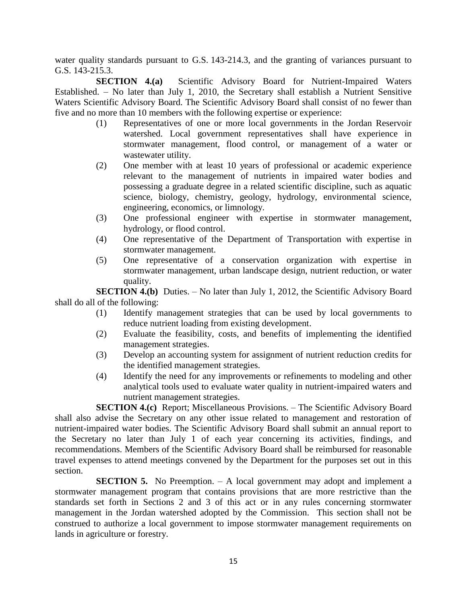water quality standards pursuant to G.S. 143-214.3, and the granting of variances pursuant to G.S. 143-215.3.

**SECTION 4.(a)** Scientific Advisory Board for Nutrient-Impaired Waters Established. – No later than July 1, 2010, the Secretary shall establish a Nutrient Sensitive Waters Scientific Advisory Board. The Scientific Advisory Board shall consist of no fewer than five and no more than 10 members with the following expertise or experience:

- (1) Representatives of one or more local governments in the Jordan Reservoir watershed. Local government representatives shall have experience in stormwater management, flood control, or management of a water or wastewater utility.
- (2) One member with at least 10 years of professional or academic experience relevant to the management of nutrients in impaired water bodies and possessing a graduate degree in a related scientific discipline, such as aquatic science, biology, chemistry, geology, hydrology, environmental science, engineering, economics, or limnology.
- (3) One professional engineer with expertise in stormwater management, hydrology, or flood control.
- (4) One representative of the Department of Transportation with expertise in stormwater management.
- (5) One representative of a conservation organization with expertise in stormwater management, urban landscape design, nutrient reduction, or water quality.

**SECTION 4.(b)** Duties. – No later than July 1, 2012, the Scientific Advisory Board shall do all of the following:

- (1) Identify management strategies that can be used by local governments to reduce nutrient loading from existing development.
- (2) Evaluate the feasibility, costs, and benefits of implementing the identified management strategies.
- (3) Develop an accounting system for assignment of nutrient reduction credits for the identified management strategies.
- (4) Identify the need for any improvements or refinements to modeling and other analytical tools used to evaluate water quality in nutrient-impaired waters and nutrient management strategies.

**SECTION 4.(c)** Report; Miscellaneous Provisions. – The Scientific Advisory Board shall also advise the Secretary on any other issue related to management and restoration of nutrient-impaired water bodies. The Scientific Advisory Board shall submit an annual report to the Secretary no later than July 1 of each year concerning its activities, findings, and recommendations. Members of the Scientific Advisory Board shall be reimbursed for reasonable travel expenses to attend meetings convened by the Department for the purposes set out in this section.

**SECTION 5.** No Preemption. – A local government may adopt and implement a stormwater management program that contains provisions that are more restrictive than the standards set forth in Sections 2 and 3 of this act or in any rules concerning stormwater management in the Jordan watershed adopted by the Commission. This section shall not be construed to authorize a local government to impose stormwater management requirements on lands in agriculture or forestry.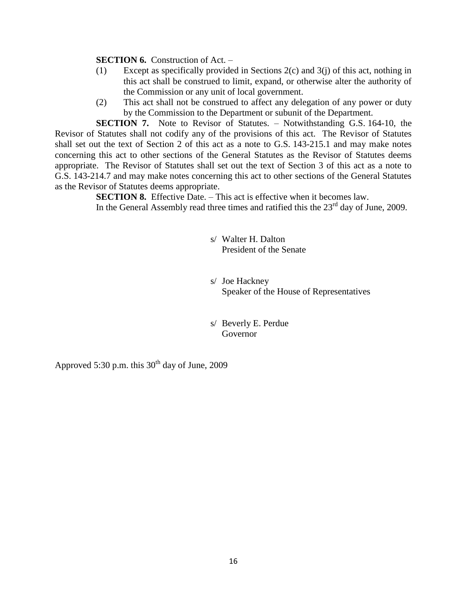**SECTION 6.** Construction of Act. –

- (1) Except as specifically provided in Sections 2(c) and 3(j) of this act, nothing in this act shall be construed to limit, expand, or otherwise alter the authority of the Commission or any unit of local government.
- (2) This act shall not be construed to affect any delegation of any power or duty by the Commission to the Department or subunit of the Department.

**SECTION 7.** Note to Revisor of Statutes. – Notwithstanding G.S. 164-10, the Revisor of Statutes shall not codify any of the provisions of this act. The Revisor of Statutes shall set out the text of Section 2 of this act as a note to G.S. 143-215.1 and may make notes concerning this act to other sections of the General Statutes as the Revisor of Statutes deems appropriate. The Revisor of Statutes shall set out the text of Section 3 of this act as a note to G.S. 143-214.7 and may make notes concerning this act to other sections of the General Statutes as the Revisor of Statutes deems appropriate.

> **SECTION 8.** Effective Date. – This act is effective when it becomes law. In the General Assembly read three times and ratified this the  $23<sup>rd</sup>$  day of June, 2009.

> > s/ Walter H. Dalton President of the Senate

s/ Joe Hackney Speaker of the House of Representatives

s/ Beverly E. Perdue Governor

Approved 5:30 p.m. this  $30<sup>th</sup>$  day of June, 2009